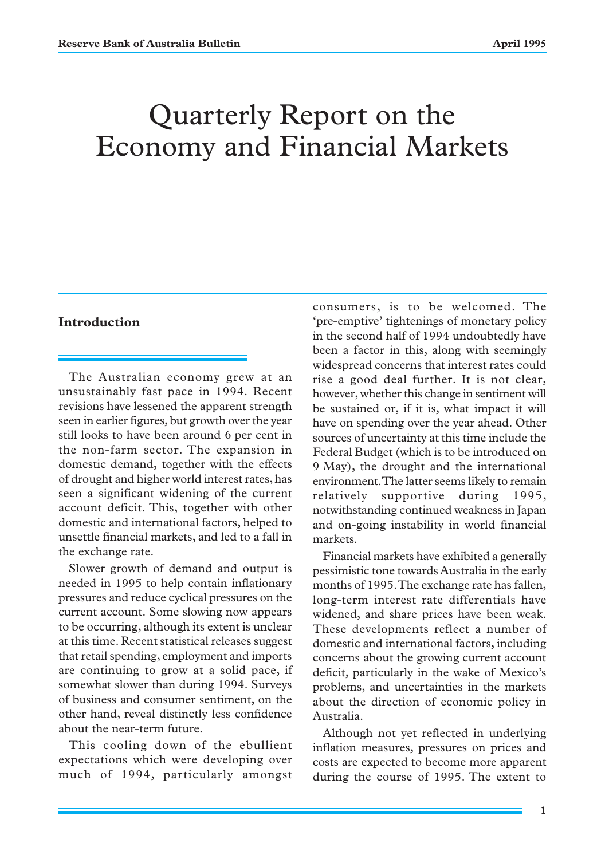# Quarterly Report on the Economy and Financial Markets

# **Introduction**

The Australian economy grew at an unsustainably fast pace in 1994. Recent revisions have lessened the apparent strength seen in earlier figures, but growth over the year still looks to have been around 6 per cent in the non-farm sector. The expansion in domestic demand, together with the effects of drought and higher world interest rates, has seen a significant widening of the current account deficit. This, together with other domestic and international factors, helped to unsettle financial markets, and led to a fall in the exchange rate.

Slower growth of demand and output is needed in 1995 to help contain inflationary pressures and reduce cyclical pressures on the current account. Some slowing now appears to be occurring, although its extent is unclear at this time. Recent statistical releases suggest that retail spending, employment and imports are continuing to grow at a solid pace, if somewhat slower than during 1994. Surveys of business and consumer sentiment, on the other hand, reveal distinctly less confidence about the near-term future.

This cooling down of the ebullient expectations which were developing over much of 1994, particularly amongst consumers, is to be welcomed. The 'pre-emptive' tightenings of monetary policy in the second half of 1994 undoubtedly have been a factor in this, along with seemingly widespread concerns that interest rates could rise a good deal further. It is not clear, however, whether this change in sentiment will be sustained or, if it is, what impact it will have on spending over the year ahead. Other sources of uncertainty at this time include the Federal Budget (which is to be introduced on 9 May), the drought and the international environment. The latter seems likely to remain relatively supportive during 1995, notwithstanding continued weakness in Japan and on-going instability in world financial markets.

Financial markets have exhibited a generally pessimistic tone towards Australia in the early months of 1995. The exchange rate has fallen, long-term interest rate differentials have widened, and share prices have been weak. These developments reflect a number of domestic and international factors, including concerns about the growing current account deficit, particularly in the wake of Mexico's problems, and uncertainties in the markets about the direction of economic policy in Australia.

Although not yet reflected in underlying inflation measures, pressures on prices and costs are expected to become more apparent during the course of 1995. The extent to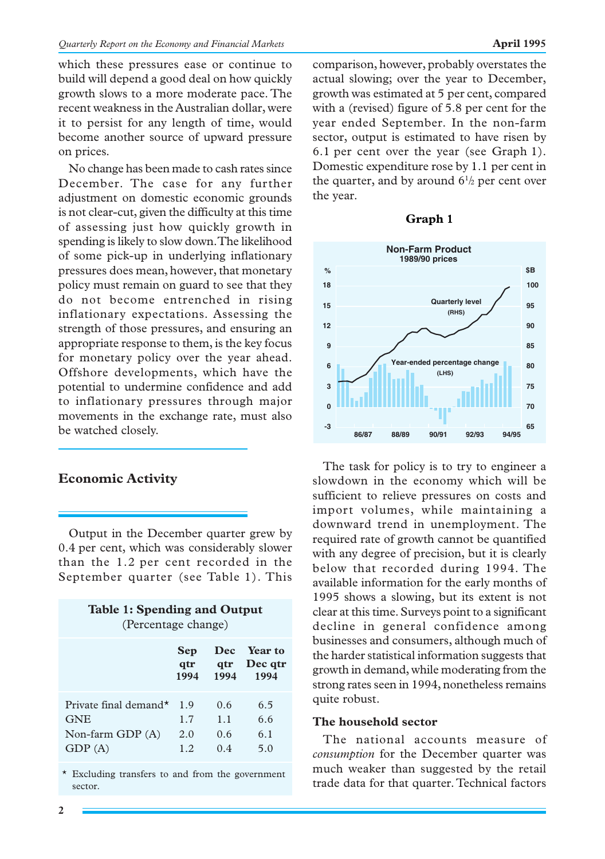which these pressures ease or continue to build will depend a good deal on how quickly growth slows to a more moderate pace. The recent weakness in the Australian dollar, were it to persist for any length of time, would become another source of upward pressure on prices.

No change has been made to cash rates since December. The case for any further adjustment on domestic economic grounds is not clear-cut, given the difficulty at this time of assessing just how quickly growth in spending is likely to slow down. The likelihood of some pick-up in underlying inflationary pressures does mean, however, that monetary policy must remain on guard to see that they do not become entrenched in rising inflationary expectations. Assessing the strength of those pressures, and ensuring an appropriate response to them, is the key focus for monetary policy over the year ahead. Offshore developments, which have the potential to undermine confidence and add to inflationary pressures through major movements in the exchange rate, must also be watched closely.

# **Economic Activity**

Output in the December quarter grew by 0.4 per cent, which was considerably slower than the 1.2 per cent recorded in the September quarter (see Table 1). This

| <b>Table 1: Spending and Output</b><br>(Percentage change)          |                           |                         |                                |
|---------------------------------------------------------------------|---------------------------|-------------------------|--------------------------------|
|                                                                     | <b>Sep</b><br>qtr<br>1994 | qtr<br>1994             | Dec Year to<br>Dec qtr<br>1994 |
| Private final demand*<br><b>GNE</b><br>Non-farm GDP $(A)$<br>GDP(A) | 1.9<br>1.7<br>2.0<br>12   | 0.6<br>1.1<br>0.6<br>04 | 6.5<br>6.6<br>6.1<br>5.0       |

\* Excluding transfers to and from the government sector.

comparison, however, probably overstates the actual slowing; over the year to December, growth was estimated at 5 per cent, compared with a (revised) figure of 5.8 per cent for the year ended September. In the non-farm sector, output is estimated to have risen by 6.1 per cent over the year (see Graph 1). Domestic expenditure rose by 1.1 per cent in the quarter, and by around  $6\frac{1}{2}$  per cent over the year.





The task for policy is to try to engineer a slowdown in the economy which will be sufficient to relieve pressures on costs and import volumes, while maintaining a downward trend in unemployment. The required rate of growth cannot be quantified with any degree of precision, but it is clearly below that recorded during 1994. The available information for the early months of 1995 shows a slowing, but its extent is not clear at this time. Surveys point to a significant decline in general confidence among businesses and consumers, although much of the harder statistical information suggests that growth in demand, while moderating from the strong rates seen in 1994, nonetheless remains quite robust.

# **The household sector**

The national accounts measure of *consumption* for the December quarter was much weaker than suggested by the retail trade data for that quarter. Technical factors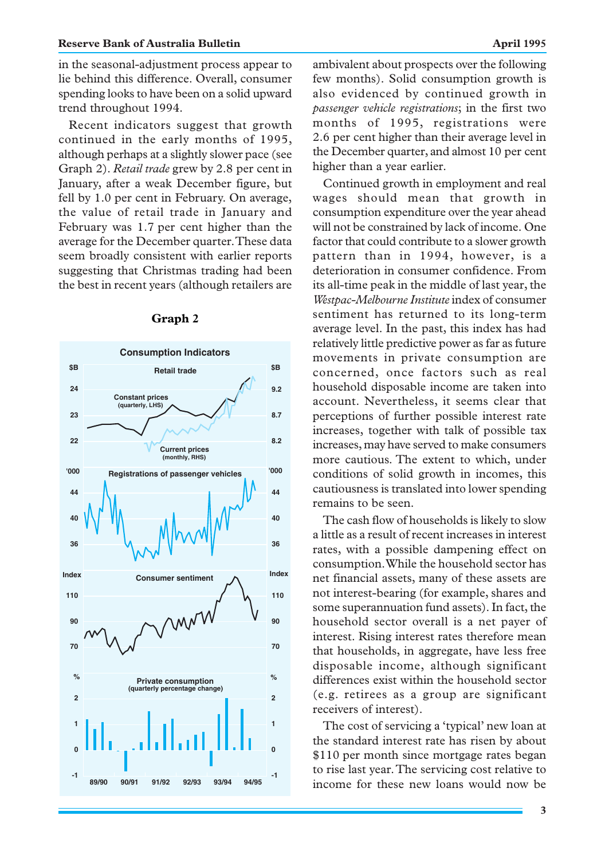#### **Reserve Bank of Australia Bulletin April 1995**

in the seasonal-adjustment process appear to lie behind this difference. Overall, consumer spending looks to have been on a solid upward trend throughout 1994.

Recent indicators suggest that growth continued in the early months of 1995, although perhaps at a slightly slower pace (see Graph 2). *Retail trade* grew by 2.8 per cent in January, after a weak December figure, but fell by 1.0 per cent in February. On average, the value of retail trade in January and February was 1.7 per cent higher than the average for the December quarter. These data seem broadly consistent with earlier reports suggesting that Christmas trading had been the best in recent years (although retailers are



# **Graph 2**

Continued growth in employment and real wages should mean that growth in consumption expenditure over the year ahead will not be constrained by lack of income. One factor that could contribute to a slower growth pattern than in 1994, however, is a deterioration in consumer confidence. From its all-time peak in the middle of last year, the *Westpac-Melbourne Institute*index of consumer sentiment has returned to its long-term average level. In the past, this index has had relatively little predictive power as far as future movements in private consumption are concerned, once factors such as real household disposable income are taken into account. Nevertheless, it seems clear that perceptions of further possible interest rate increases, together with talk of possible tax increases, may have served to make consumers more cautious. The extent to which, under conditions of solid growth in incomes, this cautiousness is translated into lower spending remains to be seen.

The cash flow of households is likely to slow a little as a result of recent increases in interest rates, with a possible dampening effect on consumption. While the household sector has net financial assets, many of these assets are not interest-bearing (for example, shares and some superannuation fund assets). In fact, the household sector overall is a net payer of interest. Rising interest rates therefore mean that households, in aggregate, have less free disposable income, although significant differences exist within the household sector (e.g. retirees as a group are significant receivers of interest).

The cost of servicing a 'typical' new loan at the standard interest rate has risen by about \$110 per month since mortgage rates began to rise last year. The servicing cost relative to income for these new loans would now be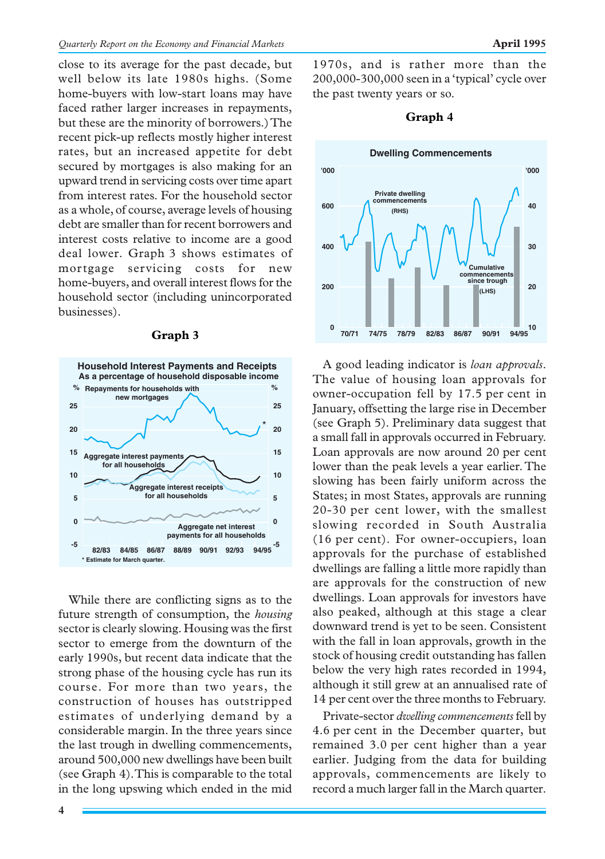close to its average for the past decade, but well below its late 1980s highs. (Some home-buyers with low-start loans may have faced rather larger increases in repayments, but these are the minority of borrowers.) The recent pick-up reflects mostly higher interest rates, but an increased appetite for debt secured by mortgages is also making for an upward trend in servicing costs over time apart from interest rates. For the household sector as a whole, of course, average levels of housing debt are smaller than for recent borrowers and interest costs relative to income are a good deal lower. Graph 3 shows estimates of mortgage servicing costs for new home-buyers, and overall interest flows for the household sector (including unincorporated businesses).

#### **Graph 3**



While there are conflicting signs as to the future strength of consumption, the *housing* sector is clearly slowing. Housing was the first sector to emerge from the downturn of the early 1990s, but recent data indicate that the strong phase of the housing cycle has run its course. For more than two years, the construction of houses has outstripped estimates of underlying demand by a considerable margin. In the three years since the last trough in dwelling commencements, around 500,000 new dwellings have been built (see Graph 4). This is comparable to the total in the long upswing which ended in the mid

1970s, and is rather more than the 200,000-300,000 seen in a 'typical' cycle over the past twenty years or so.

# **Graph 4**



A good leading indicator is *loan approvals*. The value of housing loan approvals for owner-occupation fell by 17.5 per cent in January, offsetting the large rise in December (see Graph 5). Preliminary data suggest that a small fall in approvals occurred in February. Loan approvals are now around 20 per cent lower than the peak levels a year earlier. The slowing has been fairly uniform across the States; in most States, approvals are running 20-30 per cent lower, with the smallest slowing recorded in South Australia (16 per cent). For owner-occupiers, loan approvals for the purchase of established dwellings are falling a little more rapidly than are approvals for the construction of new dwellings. Loan approvals for investors have also peaked, although at this stage a clear downward trend is yet to be seen. Consistent with the fall in loan approvals, growth in the stock of housing credit outstanding has fallen below the very high rates recorded in 1994, although it still grew at an annualised rate of 14 per cent over the three months to February.

Private-sector *dwelling commencements* fell by 4.6 per cent in the December quarter, but remained 3.0 per cent higher than a year earlier. Judging from the data for building approvals, commencements are likely to record a much larger fall in the March quarter.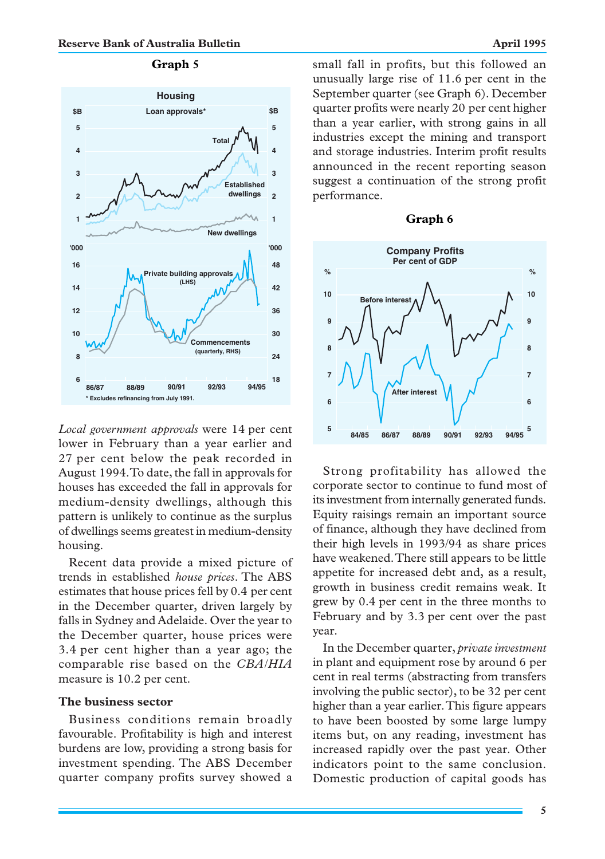

*Local government approvals* were 14 per cent lower in February than a year earlier and 27 per cent below the peak recorded in August 1994. To date, the fall in approvals for houses has exceeded the fall in approvals for medium-density dwellings, although this pattern is unlikely to continue as the surplus of dwellings seems greatest in medium-density housing.

Recent data provide a mixed picture of trends in established *house prices*. The ABS estimates that house prices fell by 0.4 per cent in the December quarter, driven largely by falls in Sydney and Adelaide. Over the year to the December quarter, house prices were 3.4 per cent higher than a year ago; the comparable rise based on the *CBA/HIA* measure is 10.2 per cent.

#### **The business sector**

Business conditions remain broadly favourable. Profitability is high and interest burdens are low, providing a strong basis for investment spending. The ABS December quarter company profits survey showed a small fall in profits, but this followed an unusually large rise of 11.6 per cent in the September quarter (see Graph 6). December quarter profits were nearly 20 per cent higher than a year earlier, with strong gains in all industries except the mining and transport and storage industries. Interim profit results announced in the recent reporting season suggest a continuation of the strong profit performance.





Strong profitability has allowed the corporate sector to continue to fund most of its investment from internally generated funds. Equity raisings remain an important source of finance, although they have declined from their high levels in 1993/94 as share prices have weakened. There still appears to be little appetite for increased debt and, as a result, growth in business credit remains weak. It grew by 0.4 per cent in the three months to February and by 3.3 per cent over the past year.

In the December quarter, *private investment* in plant and equipment rose by around 6 per cent in real terms (abstracting from transfers involving the public sector), to be 32 per cent higher than a year earlier. This figure appears to have been boosted by some large lumpy items but, on any reading, investment has increased rapidly over the past year. Other indicators point to the same conclusion. Domestic production of capital goods has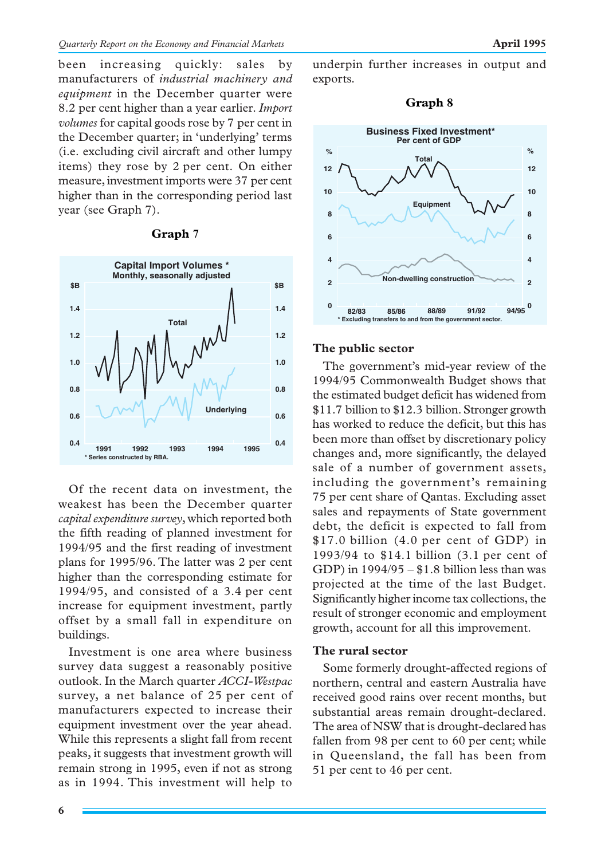been increasing quickly: sales by manufacturers of *industrial machinery and equipment* in the December quarter were 8.2 per cent higher than a year earlier. *Import volumes* for capital goods rose by 7 per cent in the December quarter; in 'underlying' terms (i.e. excluding civil aircraft and other lumpy items) they rose by 2 per cent. On either measure, investment imports were 37 per cent higher than in the corresponding period last year (see Graph 7).

#### **Graph 7**



Of the recent data on investment, the weakest has been the December quarter *capital expenditure survey*, which reported both the fifth reading of planned investment for 1994/95 and the first reading of investment plans for 1995/96. The latter was 2 per cent higher than the corresponding estimate for 1994/95, and consisted of a 3.4 per cent increase for equipment investment, partly offset by a small fall in expenditure on buildings.

Investment is one area where business survey data suggest a reasonably positive outlook. In the March quarter *ACCI-Westpac* survey, a net balance of 25 per cent of manufacturers expected to increase their equipment investment over the year ahead. While this represents a slight fall from recent peaks, it suggests that investment growth will remain strong in 1995, even if not as strong as in 1994. This investment will help to underpin further increases in output and exports.

#### **Graph 8**



#### **The public sector**

The government's mid-year review of the 1994/95 Commonwealth Budget shows that the estimated budget deficit has widened from \$11.7 billion to \$12.3 billion. Stronger growth has worked to reduce the deficit, but this has been more than offset by discretionary policy changes and, more significantly, the delayed sale of a number of government assets, including the government's remaining 75 per cent share of Qantas. Excluding asset sales and repayments of State government debt, the deficit is expected to fall from \$17.0 billion (4.0 per cent of GDP) in 1993/94 to \$14.1 billion (3.1 per cent of GDP) in  $1994/95 - $1.8$  billion less than was projected at the time of the last Budget. Significantly higher income tax collections, the result of stronger economic and employment growth, account for all this improvement.

#### **The rural sector**

Some formerly drought-affected regions of northern, central and eastern Australia have received good rains over recent months, but substantial areas remain drought-declared. The area of NSW that is drought-declared has fallen from 98 per cent to 60 per cent; while in Queensland, the fall has been from 51 per cent to 46 per cent.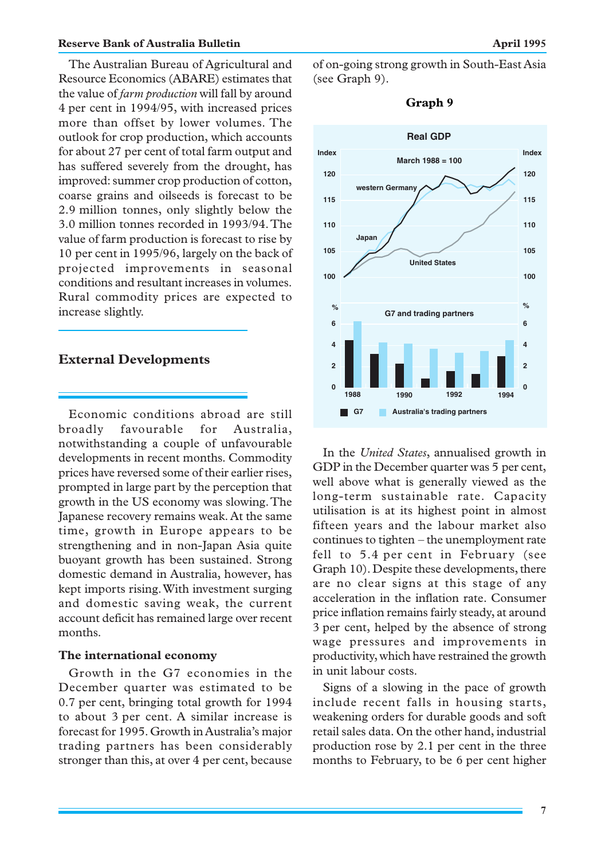#### **Reserve Bank of Australia Bulletin April 1995**

The Australian Bureau of Agricultural and Resource Economics (ABARE) estimates that the value of *farm production* will fall by around 4 per cent in 1994/95, with increased prices more than offset by lower volumes. The outlook for crop production, which accounts for about 27 per cent of total farm output and has suffered severely from the drought, has improved: summer crop production of cotton, coarse grains and oilseeds is forecast to be 2.9 million tonnes, only slightly below the 3.0 million tonnes recorded in 1993/94. The value of farm production is forecast to rise by 10 per cent in 1995/96, largely on the back of projected improvements in seasonal conditions and resultant increases in volumes. Rural commodity prices are expected to increase slightly.

# **External Developments**

Economic conditions abroad are still broadly favourable for Australia, notwithstanding a couple of unfavourable developments in recent months. Commodity prices have reversed some of their earlier rises, prompted in large part by the perception that growth in the US economy was slowing. The Japanese recovery remains weak. At the same time, growth in Europe appears to be strengthening and in non-Japan Asia quite buoyant growth has been sustained. Strong domestic demand in Australia, however, has kept imports rising. With investment surging and domestic saving weak, the current account deficit has remained large over recent months.

#### **The international economy**

Growth in the G7 economies in the December quarter was estimated to be 0.7 per cent, bringing total growth for 1994 to about 3 per cent. A similar increase is forecast for 1995. Growth in Australia's major trading partners has been considerably stronger than this, at over 4 per cent, because of on-going strong growth in South-East Asia (see Graph 9).



**Graph 9**

In the *United States*, annualised growth in GDP in the December quarter was 5 per cent, well above what is generally viewed as the long-term sustainable rate. Capacity utilisation is at its highest point in almost fifteen years and the labour market also continues to tighten – the unemployment rate fell to 5.4 per cent in February (see Graph 10). Despite these developments, there are no clear signs at this stage of any acceleration in the inflation rate. Consumer price inflation remains fairly steady, at around 3 per cent, helped by the absence of strong wage pressures and improvements in productivity, which have restrained the growth in unit labour costs.

Signs of a slowing in the pace of growth include recent falls in housing starts, weakening orders for durable goods and soft retail sales data. On the other hand, industrial production rose by 2.1 per cent in the three months to February, to be 6 per cent higher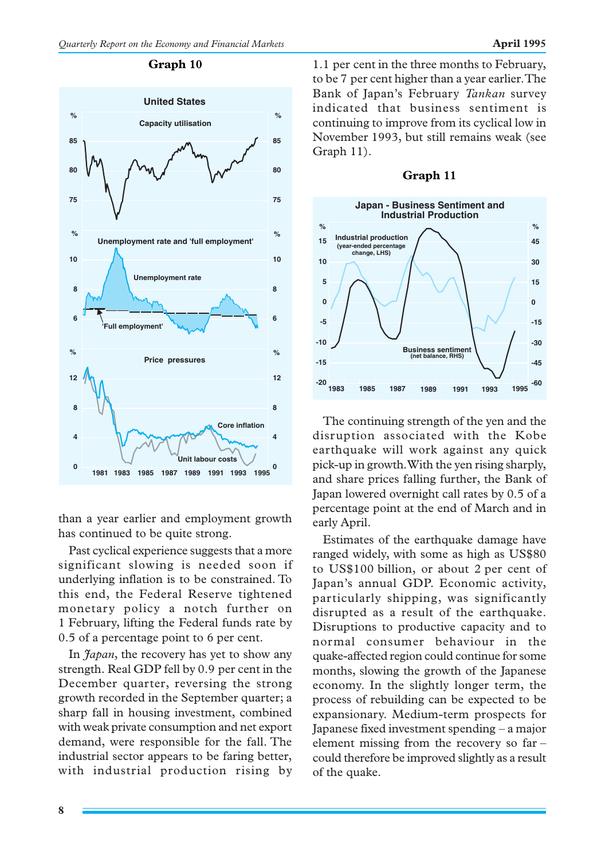

than a year earlier and employment growth has continued to be quite strong.

Past cyclical experience suggests that a more significant slowing is needed soon if underlying inflation is to be constrained. To this end, the Federal Reserve tightened monetary policy a notch further on 1 February, lifting the Federal funds rate by 0.5 of a percentage point to 6 per cent.

In *Japan*, the recovery has yet to show any strength. Real GDP fell by 0.9 per cent in the December quarter, reversing the strong growth recorded in the September quarter; a sharp fall in housing investment, combined with weak private consumption and net export demand, were responsible for the fall. The industrial sector appears to be faring better, with industrial production rising by 1.1 per cent in the three months to February, to be 7 per cent higher than a year earlier. The Bank of Japan's February *Tankan* survey indicated that business sentiment is continuing to improve from its cyclical low in November 1993, but still remains weak (see Graph 11).



#### **Graph 11**

The continuing strength of the yen and the disruption associated with the Kobe earthquake will work against any quick pick-up in growth. With the yen rising sharply, and share prices falling further, the Bank of Japan lowered overnight call rates by 0.5 of a percentage point at the end of March and in early April.

Estimates of the earthquake damage have ranged widely, with some as high as US\$80 to US\$100 billion, or about 2 per cent of Japan's annual GDP. Economic activity, particularly shipping, was significantly disrupted as a result of the earthquake. Disruptions to productive capacity and to normal consumer behaviour in the quake-affected region could continue for some months, slowing the growth of the Japanese economy. In the slightly longer term, the process of rebuilding can be expected to be expansionary. Medium-term prospects for Japanese fixed investment spending – a major element missing from the recovery so far – could therefore be improved slightly as a result of the quake.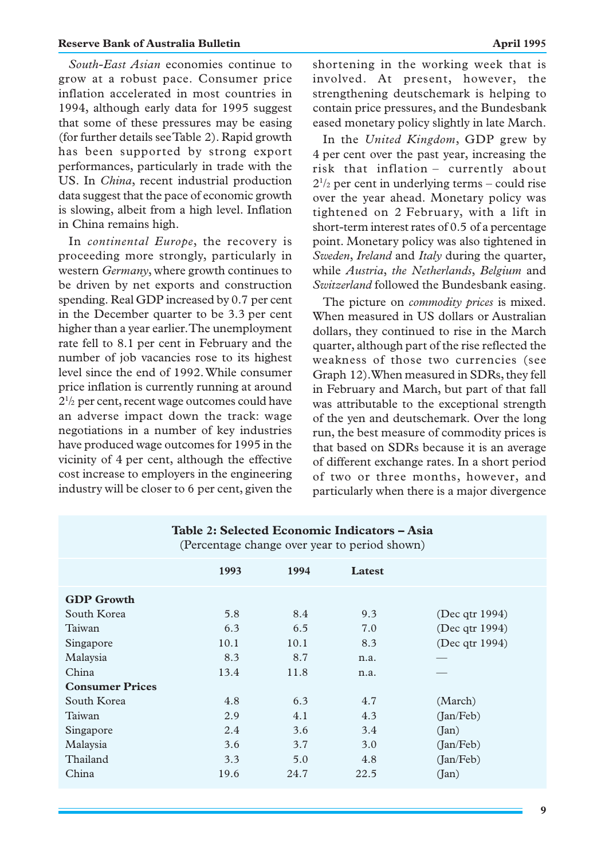*South-East Asian* economies continue to grow at a robust pace. Consumer price inflation accelerated in most countries in 1994, although early data for 1995 suggest that some of these pressures may be easing (for further details see Table 2). Rapid growth has been supported by strong export performances, particularly in trade with the US. In *China*, recent industrial production data suggest that the pace of economic growth is slowing, albeit from a high level. Inflation in China remains high.

In *continental Europe*, the recovery is proceeding more strongly, particularly in western *Germany*, where growth continues to be driven by net exports and construction spending. Real GDP increased by 0.7 per cent in the December quarter to be 3.3 per cent higher than a year earlier. The unemployment rate fell to 8.1 per cent in February and the number of job vacancies rose to its highest level since the end of 1992. While consumer price inflation is currently running at around 21 /2 per cent, recent wage outcomes could have an adverse impact down the track: wage negotiations in a number of key industries have produced wage outcomes for 1995 in the vicinity of 4 per cent, although the effective cost increase to employers in the engineering industry will be closer to 6 per cent, given the shortening in the working week that is involved. At present, however, the strengthening deutschemark is helping to contain price pressures, and the Bundesbank eased monetary policy slightly in late March.

In the *United Kingdom*, GDP grew by 4 per cent over the past year, increasing the risk that inflation – currently about  $2^{1/2}$  per cent in underlying terms – could rise over the year ahead. Monetary policy was tightened on 2 February, with a lift in short-term interest rates of 0.5 of a percentage point. Monetary policy was also tightened in *Sweden*, *Ireland* and *Italy* during the quarter, while *Austria*, *the Netherlands*, *Belgium* and *Switzerland* followed the Bundesbank easing.

The picture on *commodity prices* is mixed. When measured in US dollars or Australian dollars, they continued to rise in the March quarter, although part of the rise reflected the weakness of those two currencies (see Graph 12). When measured in SDRs, they fell in February and March, but part of that fall was attributable to the exceptional strength of the yen and deutschemark. Over the long run, the best measure of commodity prices is that based on SDRs because it is an average of different exchange rates. In a short period of two or three months, however, and particularly when there is a major divergence

| ole 21 oelected mechanik manedicts<br>(Percentage change over year to period shown) |      |      |        |                |
|-------------------------------------------------------------------------------------|------|------|--------|----------------|
|                                                                                     | 1993 | 1994 | Latest |                |
| <b>GDP</b> Growth                                                                   |      |      |        |                |
| South Korea                                                                         | 5.8  | 8.4  | 9.3    | (Dec qtr 1994) |
| Taiwan                                                                              | 6.3  | 6.5  | 7.0    | (Dec qtr 1994) |
| Singapore                                                                           | 10.1 | 10.1 | 8.3    | (Dec qtr 1994) |
| Malaysia                                                                            | 8.3  | 8.7  | n.a.   |                |
| China                                                                               | 13.4 | 11.8 | n.a.   |                |
| <b>Consumer Prices</b>                                                              |      |      |        |                |
| South Korea                                                                         | 4.8  | 6.3  | 4.7    | (March)        |
| Taiwan                                                                              | 2.9  | 4.1  | 4.3    | (Jan/Feb)      |
| Singapore                                                                           | 2.4  | 3.6  | 3.4    | (Jan)          |
| Malaysia                                                                            | 3.6  | 3.7  | 3.0    | (Jan/Feb)      |
| Thailand                                                                            | 3.3  | 5.0  | 4.8    | (Jan/Feb)      |
| China                                                                               | 19.6 | 24.7 | 22.5   | (Jan)          |

**Table 2: Selected Economic Indicators – Asia**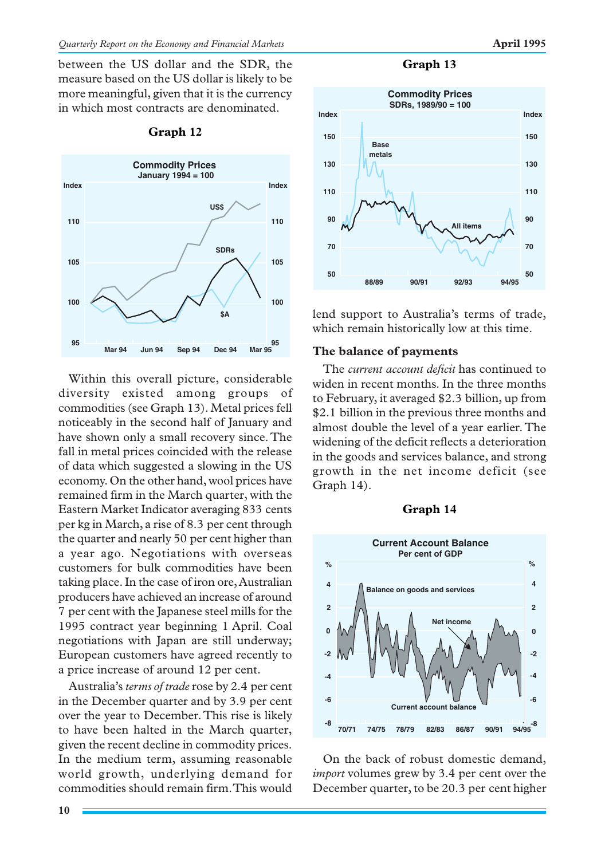between the US dollar and the SDR, the measure based on the US dollar is likely to be more meaningful, given that it is the currency in which most contracts are denominated.



#### **Graph 12**

Within this overall picture, considerable diversity existed among groups of commodities (see Graph 13). Metal prices fell noticeably in the second half of January and have shown only a small recovery since. The fall in metal prices coincided with the release of data which suggested a slowing in the US economy. On the other hand, wool prices have remained firm in the March quarter, with the Eastern Market Indicator averaging 833 cents per kg in March, a rise of 8.3 per cent through the quarter and nearly 50 per cent higher than a year ago. Negotiations with overseas customers for bulk commodities have been taking place. In the case of iron ore, Australian producers have achieved an increase of around 7 per cent with the Japanese steel mills for the 1995 contract year beginning 1 April. Coal negotiations with Japan are still underway; European customers have agreed recently to a price increase of around 12 per cent.

Australia's *terms of trade* rose by 2.4 per cent in the December quarter and by 3.9 per cent over the year to December. This rise is likely to have been halted in the March quarter, given the recent decline in commodity prices. In the medium term, assuming reasonable world growth, underlying demand for commodities should remain firm. This would



lend support to Australia's terms of trade, which remain historically low at this time.

#### **The balance of payments**

The *current account deficit* has continued to widen in recent months. In the three months to February, it averaged \$2.3 billion, up from \$2.1 billion in the previous three months and almost double the level of a year earlier. The widening of the deficit reflects a deterioration in the goods and services balance, and strong growth in the net income deficit (see Graph 14).





On the back of robust domestic demand, *import* volumes grew by 3.4 per cent over the December quarter, to be 20.3 per cent higher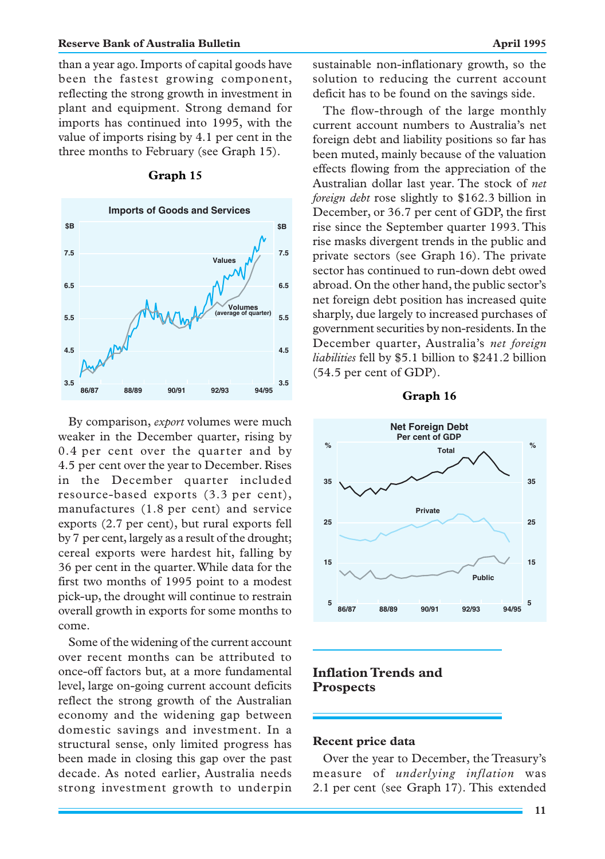#### **Reserve Bank of Australia Bulletin April 1995**

than a year ago. Imports of capital goods have been the fastest growing component, reflecting the strong growth in investment in plant and equipment. Strong demand for imports has continued into 1995, with the value of imports rising by 4.1 per cent in the three months to February (see Graph 15).



**Graph 15**

By comparison, *export* volumes were much weaker in the December quarter, rising by 0.4 per cent over the quarter and by 4.5 per cent over the year to December. Rises in the December quarter included resource-based exports (3.3 per cent), manufactures (1.8 per cent) and service exports (2.7 per cent), but rural exports fell by 7 per cent, largely as a result of the drought; cereal exports were hardest hit, falling by 36 per cent in the quarter. While data for the first two months of 1995 point to a modest pick-up, the drought will continue to restrain overall growth in exports for some months to come.

Some of the widening of the current account over recent months can be attributed to once-off factors but, at a more fundamental level, large on-going current account deficits reflect the strong growth of the Australian economy and the widening gap between domestic savings and investment. In a structural sense, only limited progress has been made in closing this gap over the past decade. As noted earlier, Australia needs strong investment growth to underpin sustainable non-inflationary growth, so the solution to reducing the current account deficit has to be found on the savings side.

The flow-through of the large monthly current account numbers to Australia's net foreign debt and liability positions so far has been muted, mainly because of the valuation effects flowing from the appreciation of the Australian dollar last year. The stock of *net foreign debt* rose slightly to \$162.3 billion in December, or 36.7 per cent of GDP, the first rise since the September quarter 1993. This rise masks divergent trends in the public and private sectors (see Graph 16). The private sector has continued to run-down debt owed abroad. On the other hand, the public sector's net foreign debt position has increased quite sharply, due largely to increased purchases of government securities by non-residents. In the December quarter, Australia's *net foreign liabilities* fell by \$5.1 billion to \$241.2 billion (54.5 per cent of GDP).

#### **Graph 16**



# **Inflation Trends and Prospects**

# **Recent price data**

Over the year to December, the Treasury's measure of *underlying inflation* was 2.1 per cent (see Graph 17). This extended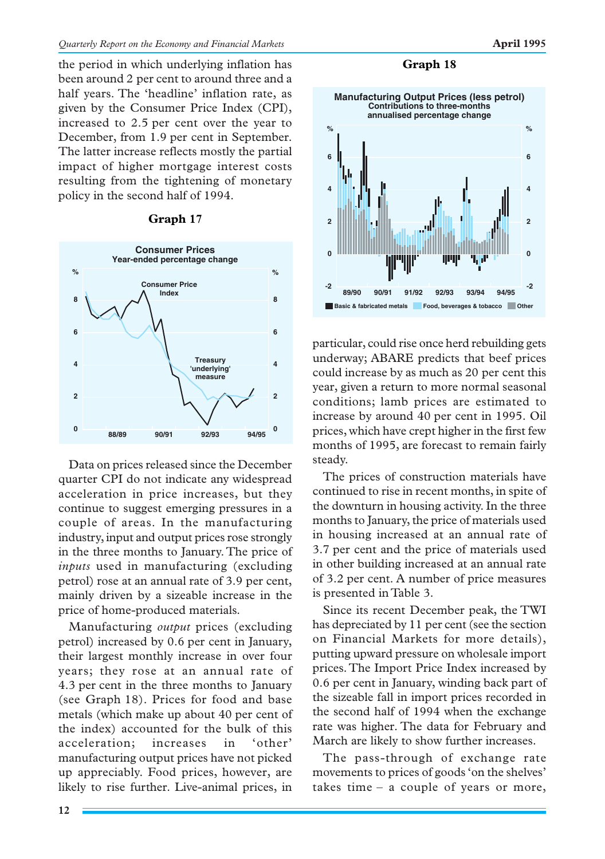the period in which underlying inflation has been around 2 per cent to around three and a half years. The 'headline' inflation rate, as given by the Consumer Price Index (CPI), increased to 2.5 per cent over the year to December, from 1.9 per cent in September. The latter increase reflects mostly the partial impact of higher mortgage interest costs resulting from the tightening of monetary policy in the second half of 1994.

#### **Graph 17**



Data on prices released since the December quarter CPI do not indicate any widespread acceleration in price increases, but they continue to suggest emerging pressures in a couple of areas. In the manufacturing industry, input and output prices rose strongly in the three months to January. The price of *inputs* used in manufacturing (excluding petrol) rose at an annual rate of 3.9 per cent, mainly driven by a sizeable increase in the price of home-produced materials.

Manufacturing *output* prices (excluding petrol) increased by 0.6 per cent in January, their largest monthly increase in over four years; they rose at an annual rate of 4.3 per cent in the three months to January (see Graph 18). Prices for food and base metals (which make up about 40 per cent of the index) accounted for the bulk of this acceleration; increases in 'other' manufacturing output prices have not picked up appreciably. Food prices, however, are likely to rise further. Live-animal prices, in



particular, could rise once herd rebuilding gets underway; ABARE predicts that beef prices could increase by as much as 20 per cent this year, given a return to more normal seasonal conditions; lamb prices are estimated to increase by around 40 per cent in 1995. Oil prices, which have crept higher in the first few months of 1995, are forecast to remain fairly steady.

The prices of construction materials have continued to rise in recent months, in spite of the downturn in housing activity. In the three months to January, the price of materials used in housing increased at an annual rate of 3.7 per cent and the price of materials used in other building increased at an annual rate of 3.2 per cent. A number of price measures is presented in Table 3.

Since its recent December peak, the TWI has depreciated by 11 per cent (see the section on Financial Markets for more details), putting upward pressure on wholesale import prices. The Import Price Index increased by 0.6 per cent in January, winding back part of the sizeable fall in import prices recorded in the second half of 1994 when the exchange rate was higher. The data for February and March are likely to show further increases.

The pass-through of exchange rate movements to prices of goods 'on the shelves' takes time – a couple of years or more,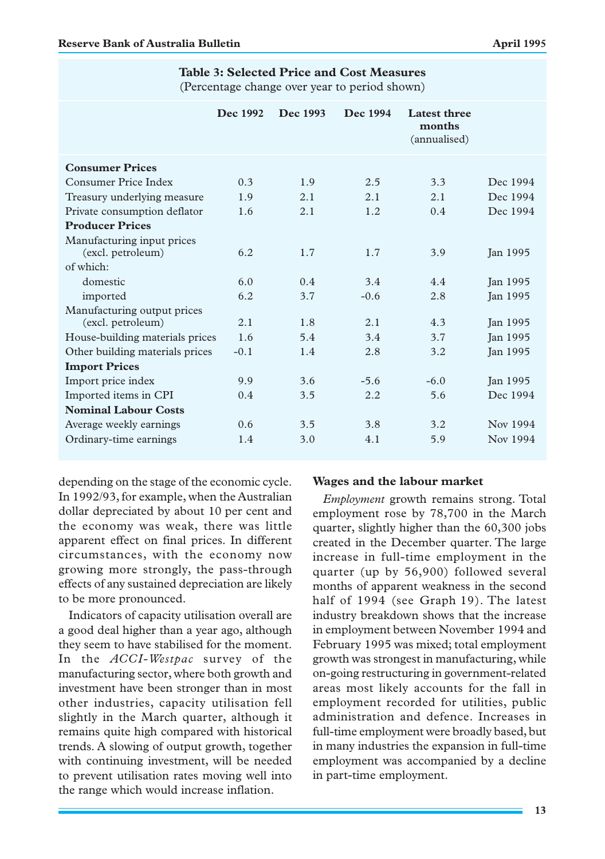(Percentage change over year to period shown)

|                                                  | Dec 1992 | Dec 1993 | Dec 1994 | Latest three<br>months<br>(annualised) |                 |
|--------------------------------------------------|----------|----------|----------|----------------------------------------|-----------------|
| <b>Consumer Prices</b>                           |          |          |          |                                        |                 |
| Consumer Price Index                             | 0.3      | 1.9      | 2.5      | 3.3                                    | Dec 1994        |
| Treasury underlying measure                      | 1.9      | 2.1      | 2.1      | 2.1                                    | Dec 1994        |
| Private consumption deflator                     | 1.6      | 2.1      | 1.2      | 0.4                                    | Dec 1994        |
| <b>Producer Prices</b>                           |          |          |          |                                        |                 |
| Manufacturing input prices<br>(excl. petroleum)  | 6.2      | 1.7      | 1.7      | 3.9                                    | Jan 1995        |
| of which:                                        |          |          |          |                                        |                 |
| domestic                                         | 6.0      | 0.4      | 3.4      | 4.4                                    | Jan 1995        |
| imported                                         | 6.2      | 3.7      | $-0.6$   | 2.8                                    | <b>Jan 1995</b> |
| Manufacturing output prices<br>(excl. petroleum) | 2.1      | 1.8      | 2.1      | 4.3                                    | Jan 1995        |
| House-building materials prices                  | 1.6      | 5.4      | 3.4      | 3.7                                    | Jan 1995        |
| Other building materials prices                  | $-0.1$   | 1.4      | 2.8      | 3.2                                    | Jan 1995        |
| <b>Import Prices</b>                             |          |          |          |                                        |                 |
| Import price index                               | 9.9      | 3.6      | $-5.6$   | $-6.0$                                 | Jan 1995        |
| Imported items in CPI                            | 0.4      | 3.5      | 2.2      | 5.6                                    | Dec 1994        |
| <b>Nominal Labour Costs</b>                      |          |          |          |                                        |                 |
| Average weekly earnings                          | 0.6      | 3.5      | 3.8      | 3.2                                    | Nov 1994        |
| Ordinary-time earnings                           | 1.4      | 3.0      | 4.1      | 5.9                                    | Nov 1994        |

depending on the stage of the economic cycle. In 1992/93, for example, when the Australian dollar depreciated by about 10 per cent and the economy was weak, there was little apparent effect on final prices. In different circumstances, with the economy now growing more strongly, the pass-through effects of any sustained depreciation are likely to be more pronounced.

Indicators of capacity utilisation overall are a good deal higher than a year ago, although they seem to have stabilised for the moment. In the *ACCI-Westpac* survey of the manufacturing sector, where both growth and investment have been stronger than in most other industries, capacity utilisation fell slightly in the March quarter, although it remains quite high compared with historical trends. A slowing of output growth, together with continuing investment, will be needed to prevent utilisation rates moving well into the range which would increase inflation.

#### **Wages and the labour market**

*Employment* growth remains strong. Total employment rose by 78,700 in the March quarter, slightly higher than the 60,300 jobs created in the December quarter. The large increase in full-time employment in the quarter (up by 56,900) followed several months of apparent weakness in the second half of 1994 (see Graph 19). The latest industry breakdown shows that the increase in employment between November 1994 and February 1995 was mixed; total employment growth was strongest in manufacturing, while on-going restructuring in government-related areas most likely accounts for the fall in employment recorded for utilities, public administration and defence. Increases in full-time employment were broadly based, but in many industries the expansion in full-time employment was accompanied by a decline in part-time employment.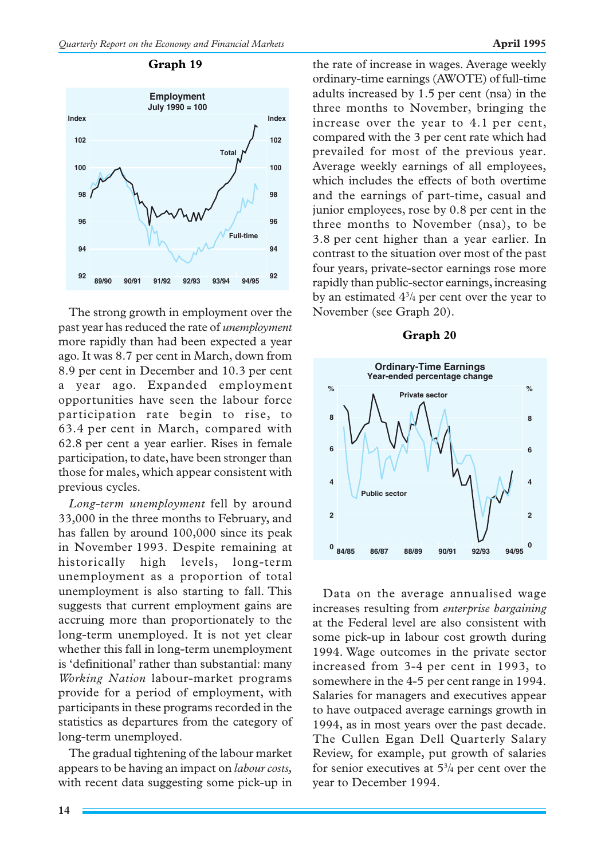

The strong growth in employment over the past year has reduced the rate of *unemployment* more rapidly than had been expected a year ago. It was 8.7 per cent in March, down from 8.9 per cent in December and 10.3 per cent a year ago. Expanded employment opportunities have seen the labour force participation rate begin to rise, to 63.4 per cent in March, compared with 62.8 per cent a year earlier. Rises in female participation, to date, have been stronger than those for males, which appear consistent with previous cycles.

*Long-term unemployment* fell by around 33,000 in the three months to February, and has fallen by around 100,000 since its peak in November 1993. Despite remaining at historically high levels, long-term unemployment as a proportion of total unemployment is also starting to fall. This suggests that current employment gains are accruing more than proportionately to the long-term unemployed. It is not yet clear whether this fall in long-term unemployment is 'definitional' rather than substantial: many *Working Nation* labour-market programs provide for a period of employment, with participants in these programs recorded in the statistics as departures from the category of long-term unemployed.

The gradual tightening of the labour market appears to be having an impact on *labour costs,* with recent data suggesting some pick-up in

**Graph 19 the rate of increase in wages. Average weekly** ordinary-time earnings (AWOTE) of full-time adults increased by 1.5 per cent (nsa) in the three months to November, bringing the increase over the year to 4.1 per cent, compared with the 3 per cent rate which had prevailed for most of the previous year. Average weekly earnings of all employees, which includes the effects of both overtime and the earnings of part-time, casual and junior employees, rose by 0.8 per cent in the three months to November (nsa), to be 3.8 per cent higher than a year earlier. In contrast to the situation over most of the past four years, private-sector earnings rose more rapidly than public-sector earnings, increasing by an estimated 43 /4 per cent over the year to November (see Graph 20).

#### **Graph 20**



Data on the average annualised wage increases resulting from *enterprise bargaining* at the Federal level are also consistent with some pick-up in labour cost growth during 1994. Wage outcomes in the private sector increased from 3-4 per cent in 1993, to somewhere in the 4-5 per cent range in 1994. Salaries for managers and executives appear to have outpaced average earnings growth in 1994, as in most years over the past decade. The Cullen Egan Dell Quarterly Salary Review, for example, put growth of salaries for senior executives at  $5\frac{3}{4}$  per cent over the year to December 1994.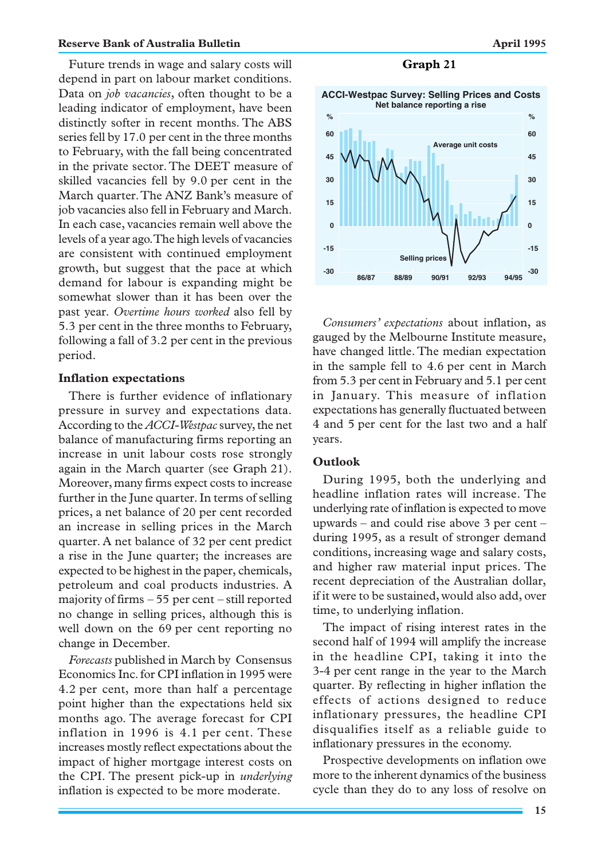#### **Reserve Bank of Australia Bulletin April 1995 April 1995**

Future trends in wage and salary costs will depend in part on labour market conditions. Data on *job vacancies*, often thought to be a leading indicator of employment, have been distinctly softer in recent months. The ABS series fell by 17.0 per cent in the three months to February, with the fall being concentrated in the private sector. The DEET measure of skilled vacancies fell by 9.0 per cent in the March quarter. The ANZ Bank's measure of job vacancies also fell in February and March. In each case, vacancies remain well above the levels of a year ago. The high levels of vacancies are consistent with continued employment growth, but suggest that the pace at which demand for labour is expanding might be somewhat slower than it has been over the past year. *Overtime hours worked* also fell by 5.3 per cent in the three months to February, following a fall of 3.2 per cent in the previous period.

# **Inflation expectations**

There is further evidence of inflationary pressure in survey and expectations data. According to the *ACCI-Westpac*survey, the net balance of manufacturing firms reporting an increase in unit labour costs rose strongly again in the March quarter (see Graph 21). Moreover, many firms expect costs to increase further in the June quarter. In terms of selling prices, a net balance of 20 per cent recorded an increase in selling prices in the March quarter. A net balance of 32 per cent predict a rise in the June quarter; the increases are expected to be highest in the paper, chemicals, petroleum and coal products industries. A majority of firms – 55 per cent – still reported no change in selling prices, although this is well down on the 69 per cent reporting no change in December.

*Forecasts* published in March by Consensus Economics Inc. for CPI inflation in 1995 were 4.2 per cent, more than half a percentage point higher than the expectations held six months ago. The average forecast for CPI inflation in 1996 is 4.1 per cent. These increases mostly reflect expectations about the impact of higher mortgage interest costs on the CPI. The present pick-up in *underlying* inflation is expected to be more moderate.

#### **Graph 21**



*Consumers' expectations* about inflation, as gauged by the Melbourne Institute measure, have changed little. The median expectation in the sample fell to 4.6 per cent in March from 5.3 per cent in February and 5.1 per cent in January. This measure of inflation expectations has generally fluctuated between 4 and 5 per cent for the last two and a half years.

#### **Outlook**

During 1995, both the underlying and headline inflation rates will increase. The underlying rate of inflation is expected to move upwards – and could rise above 3 per cent – during 1995, as a result of stronger demand conditions, increasing wage and salary costs, and higher raw material input prices. The recent depreciation of the Australian dollar, if it were to be sustained, would also add, over time, to underlying inflation.

The impact of rising interest rates in the second half of 1994 will amplify the increase in the headline CPI, taking it into the 3-4 per cent range in the year to the March quarter. By reflecting in higher inflation the effects of actions designed to reduce inflationary pressures, the headline CPI disqualifies itself as a reliable guide to inflationary pressures in the economy.

Prospective developments on inflation owe more to the inherent dynamics of the business cycle than they do to any loss of resolve on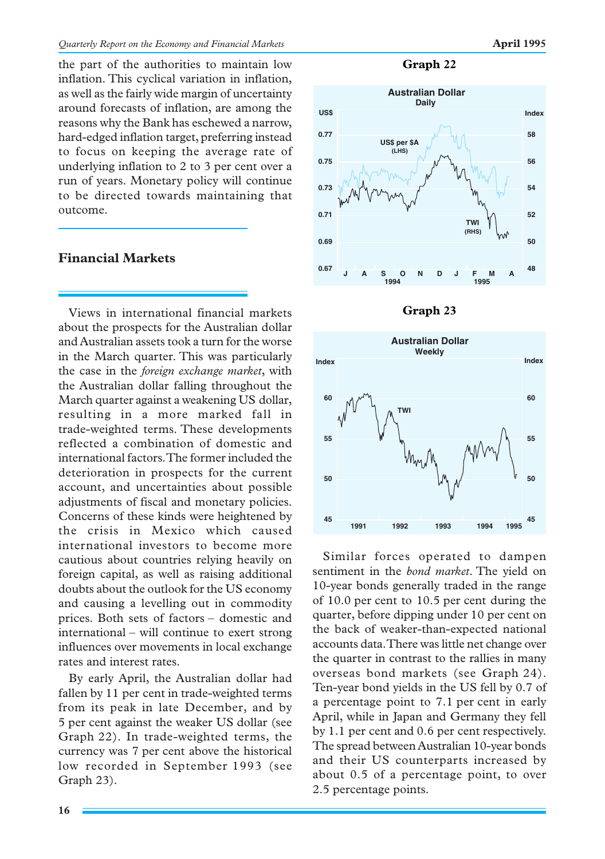the part of the authorities to maintain low inflation. This cyclical variation in inflation, as well as the fairly wide margin of uncertainty around forecasts of inflation, are among the reasons why the Bank has eschewed a narrow, hard-edged inflation target, preferring instead to focus on keeping the average rate of underlying inflation to 2 to 3 per cent over a run of years. Monetary policy will continue to be directed towards maintaining that outcome.

# **Financial Markets**

Views in international financial markets about the prospects for the Australian dollar and Australian assets took a turn for the worse in the March quarter. This was particularly the case in the *foreign exchange market*, with the Australian dollar falling throughout the March quarter against a weakening US dollar, resulting in a more marked fall in trade-weighted terms. These developments reflected a combination of domestic and international factors. The former included the deterioration in prospects for the current account, and uncertainties about possible adjustments of fiscal and monetary policies. Concerns of these kinds were heightened by the crisis in Mexico which caused international investors to become more cautious about countries relying heavily on foreign capital, as well as raising additional doubts about the outlook for the US economy and causing a levelling out in commodity prices. Both sets of factors – domestic and international – will continue to exert strong influences over movements in local exchange rates and interest rates.

By early April, the Australian dollar had fallen by 11 per cent in trade-weighted terms from its peak in late December, and by 5 per cent against the weaker US dollar (see Graph 22). In trade-weighted terms, the currency was 7 per cent above the historical low recorded in September 1993 (see Graph 23).

**Graph 22**







Similar forces operated to dampen sentiment in the *bond market*. The yield on 10-year bonds generally traded in the range of 10.0 per cent to 10.5 per cent during the quarter, before dipping under 10 per cent on the back of weaker-than-expected national accounts data. There was little net change over the quarter in contrast to the rallies in many overseas bond markets (see Graph 24). Ten-year bond yields in the US fell by 0.7 of a percentage point to 7.1 per cent in early April, while in Japan and Germany they fell by 1.1 per cent and 0.6 per cent respectively. The spread between Australian 10-year bonds and their US counterparts increased by about 0.5 of a percentage point, to over 2.5 percentage points.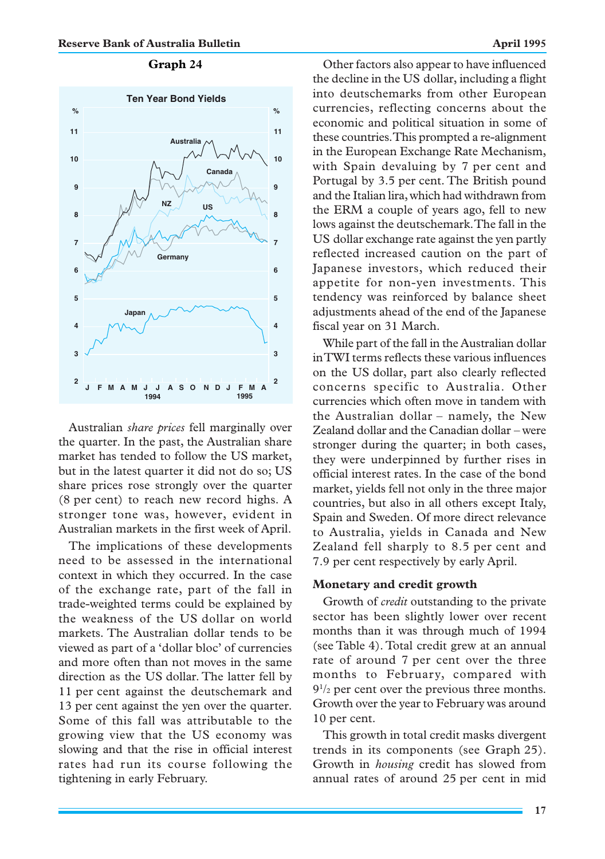

Australian *share prices* fell marginally over the quarter. In the past, the Australian share market has tended to follow the US market, but in the latest quarter it did not do so; US share prices rose strongly over the quarter (8 per cent) to reach new record highs. A stronger tone was, however, evident in Australian markets in the first week of April.

The implications of these developments need to be assessed in the international context in which they occurred. In the case of the exchange rate, part of the fall in trade-weighted terms could be explained by the weakness of the US dollar on world markets. The Australian dollar tends to be viewed as part of a 'dollar bloc' of currencies and more often than not moves in the same direction as the US dollar. The latter fell by 11 per cent against the deutschemark and 13 per cent against the yen over the quarter. Some of this fall was attributable to the growing view that the US economy was slowing and that the rise in official interest rates had run its course following the tightening in early February.

Other factors also appear to have influenced the decline in the US dollar, including a flight into deutschemarks from other European currencies, reflecting concerns about the economic and political situation in some of these countries. This prompted a re-alignment in the European Exchange Rate Mechanism, with Spain devaluing by 7 per cent and Portugal by 3.5 per cent. The British pound and the Italian lira, which had withdrawn from the ERM a couple of years ago, fell to new lows against the deutschemark. The fall in the US dollar exchange rate against the yen partly reflected increased caution on the part of Japanese investors, which reduced their appetite for non-yen investments. This tendency was reinforced by balance sheet adjustments ahead of the end of the Japanese fiscal year on 31 March.

While part of the fall in the Australian dollar in TWI terms reflects these various influences on the US dollar, part also clearly reflected concerns specific to Australia. Other currencies which often move in tandem with the Australian dollar – namely, the New Zealand dollar and the Canadian dollar – were stronger during the quarter; in both cases, they were underpinned by further rises in official interest rates. In the case of the bond market, yields fell not only in the three major countries, but also in all others except Italy, Spain and Sweden. Of more direct relevance to Australia, yields in Canada and New Zealand fell sharply to 8.5 per cent and 7.9 per cent respectively by early April.

# **Monetary and credit growth**

Growth of *credit* outstanding to the private sector has been slightly lower over recent months than it was through much of 1994 (see Table 4). Total credit grew at an annual rate of around 7 per cent over the three months to February, compared with  $9^{1/2}$  per cent over the previous three months. Growth over the year to February was around 10 per cent.

This growth in total credit masks divergent trends in its components (see Graph 25). Growth in *housing* credit has slowed from annual rates of around 25 per cent in mid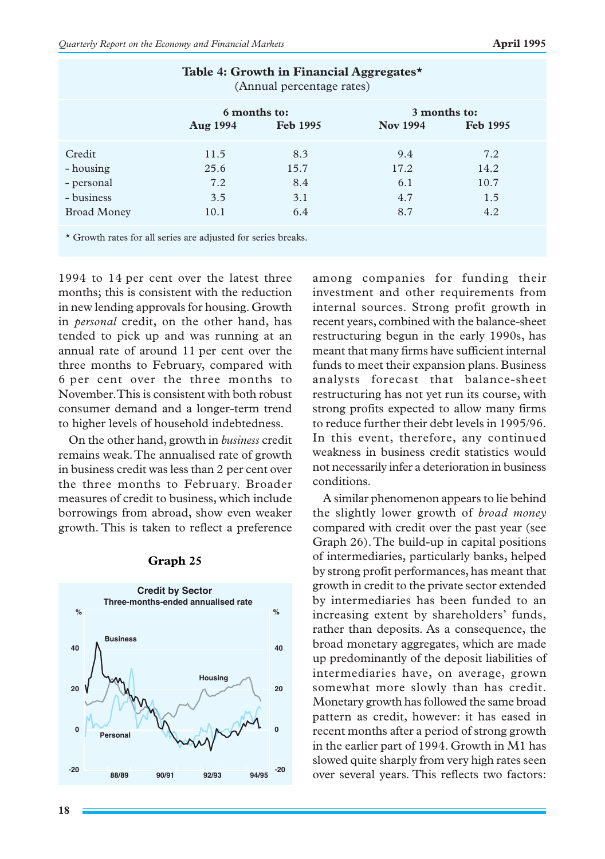| Table 4: Growth in Financial Aggregates*<br>(Annual percentage rates) |                                                    |                                  |                                  |                                   |  |
|-----------------------------------------------------------------------|----------------------------------------------------|----------------------------------|----------------------------------|-----------------------------------|--|
|                                                                       | 6 months to:<br><b>Aug 1994</b><br><b>Feb 1995</b> |                                  | 3 months to:<br><b>Nov 1994</b>  | <b>Feb 1995</b>                   |  |
| Credit<br>- housing<br>- personal<br>- business<br><b>Broad Money</b> | 11.5<br>25.6<br>7.2<br>3.5<br>10.1                 | 8.3<br>15.7<br>8.4<br>3.1<br>6.4 | 9.4<br>17.2<br>6.1<br>4.7<br>8.7 | 7.2<br>14.2<br>10.7<br>1.5<br>4.2 |  |
| * Growth rates for all series are adjusted for series breaks.         |                                                    |                                  |                                  |                                   |  |

1994 to 14 per cent over the latest three months; this is consistent with the reduction in new lending approvals for housing. Growth in *personal* credit, on the other hand, has tended to pick up and was running at an annual rate of around 11 per cent over the three months to February, compared with 6 per cent over the three months to November. This is consistent with both robust consumer demand and a longer-term trend to higher levels of household indebtedness.

On the other hand, growth in *business* credit remains weak. The annualised rate of growth in business credit was less than 2 per cent over the three months to February. Broader measures of credit to business, which include borrowings from abroad, show even weaker growth. This is taken to reflect a preference



# **Graph 25**

among companies for funding their investment and other requirements from internal sources. Strong profit growth in recent years, combined with the balance-sheet restructuring begun in the early 1990s, has meant that many firms have sufficient internal funds to meet their expansion plans. Business analysts forecast that balance-sheet restructuring has not yet run its course, with strong profits expected to allow many firms to reduce further their debt levels in 1995/96. In this event, therefore, any continued weakness in business credit statistics would not necessarily infer a deterioration in business conditions.

A similar phenomenon appears to lie behind the slightly lower growth of *broad money* compared with credit over the past year (see Graph 26). The build-up in capital positions of intermediaries, particularly banks, helped by strong profit performances, has meant that growth in credit to the private sector extended by intermediaries has been funded to an increasing extent by shareholders' funds, rather than deposits. As a consequence, the broad monetary aggregates, which are made up predominantly of the deposit liabilities of intermediaries have, on average, grown somewhat more slowly than has credit. Monetary growth has followed the same broad pattern as credit, however: it has eased in recent months after a period of strong growth in the earlier part of 1994. Growth in M1 has slowed quite sharply from very high rates seen over several years. This reflects two factors: